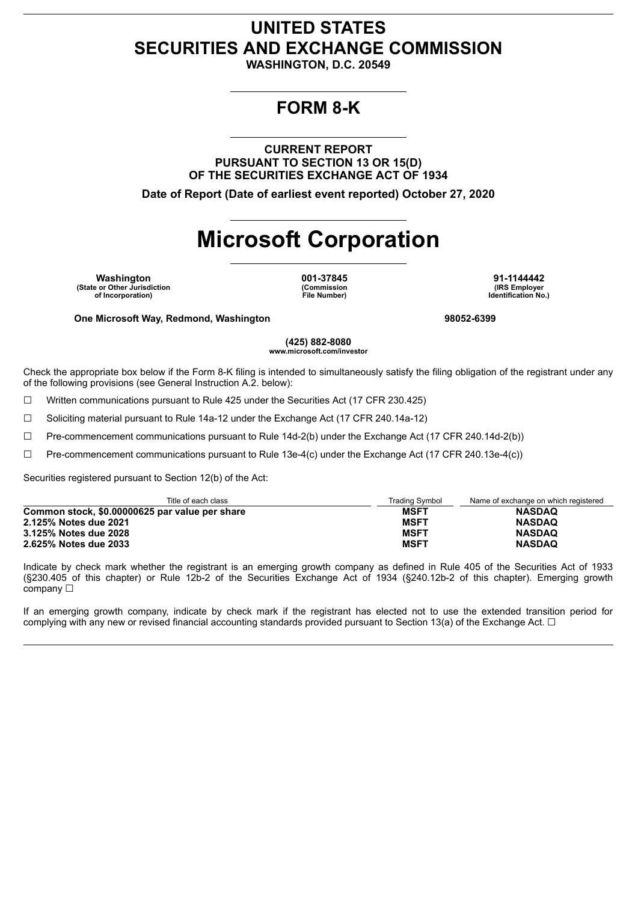# **UNITED STATES SECURITIES AND EXCHANGE COMMISSION**

**WASHINGTON, D.C. 20549**

# **FORM 8-K**

**CURRENT REPORT PURSUANT TO SECTION 13 OR 15(D) OF THE SECURITIES EXCHANGE ACT OF 1934**

**Date of Report (Date of earliest event reported) October 27, 2020**

# **Microsoft Corporation**

**Washington 001-37845 91-1144442 (State or Other Jurisdiction of Incorporation)**

**(Commission File Number)**

**(IRS Employer Identification No.)**

**One Microsoft Way, Redmond, Washington 98052-6399**

**(425) 882-8080 www.microsoft.com/investor**

Check the appropriate box below if the Form 8-K filing is intended to simultaneously satisfy the filing obligation of the registrant under any of the following provisions (see General Instruction A.2. below):

☐ Written communications pursuant to Rule 425 under the Securities Act (17 CFR 230.425)

☐ Soliciting material pursuant to Rule 14a-12 under the Exchange Act (17 CFR 240.14a-12)

☐ Pre-commencement communications pursuant to Rule 14d-2(b) under the Exchange Act (17 CFR 240.14d-2(b))

☐ Pre-commencement communications pursuant to Rule 13e-4(c) under the Exchange Act (17 CFR 240.13e-4(c))

Securities registered pursuant to Section 12(b) of the Act:

| Title of each class                            | <b>Trading Symbol</b> | Name of exchange on which registered |
|------------------------------------------------|-----------------------|--------------------------------------|
| Common stock, \$0.00000625 par value per share | <b>MSFT</b>           | <b>NASDAQ</b>                        |
| 2.125% Notes due 2021                          | <b>MSFT</b>           | <b>NASDAQ</b>                        |
| 3.125% Notes due 2028                          | <b>MSFT</b>           | <b>NASDAQ</b>                        |
| 2.625% Notes due 2033                          | <b>MSFT</b>           | <b>NASDAQ</b>                        |

Indicate by check mark whether the registrant is an emerging growth company as defined in Rule 405 of the Securities Act of 1933 (§230.405 of this chapter) or Rule 12b-2 of the Securities Exchange Act of 1934 (§240.12b-2 of this chapter). Emerging growth company □

If an emerging growth company, indicate by check mark if the registrant has elected not to use the extended transition period for complying with any new or revised financial accounting standards provided pursuant to Section 13(a) of the Exchange Act.  $\Box$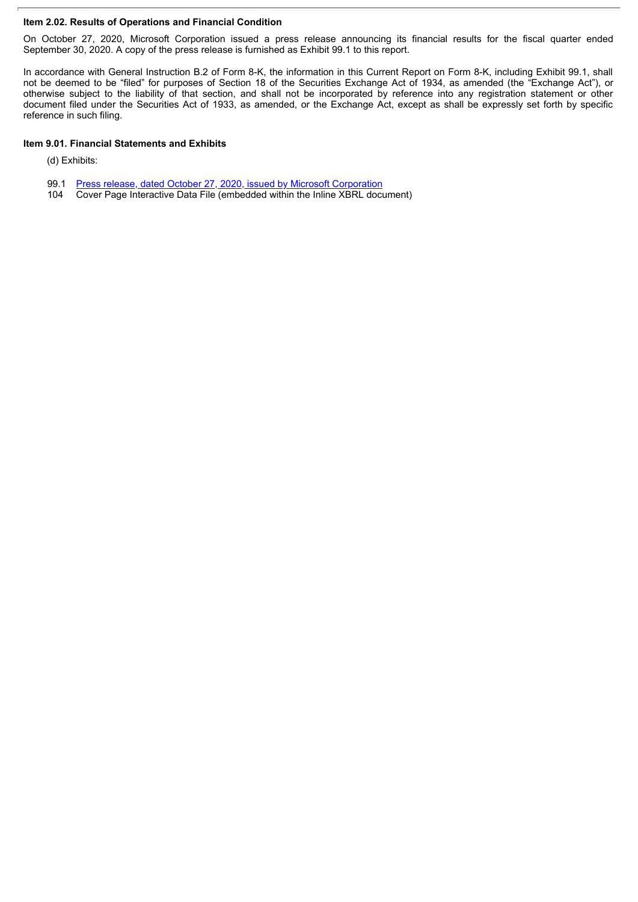#### **Item 2.02. Results of Operations and Financial Condition**

On October 27, 2020, Microsoft Corporation issued a press release announcing its financial results for the fiscal quarter ended September 30, 2020. A copy of the press release is furnished as Exhibit 99.1 to this report.

In accordance with General Instruction B.2 of Form 8-K, the information in this Current Report on Form 8-K, including Exhibit 99.1, shall not be deemed to be "filed" for purposes of Section 18 of the Securities Exchange Act of 1934, as amended (the "Exchange Act"), or otherwise subject to the liability of that section, and shall not be incorporated by reference into any registration statement or other document filed under the Securities Act of 1933, as amended, or the Exchange Act, except as shall be expressly set forth by specific reference in such filing.

#### **Item 9.01. Financial Statements and Exhibits**

(d) Exhibits:

- 99.1 Press release, dated October 27, 2020, issued by Microsoft [Corporation](#page-3-0)
- 104 Cover Page Interactive Data File (embedded within the Inline XBRL document)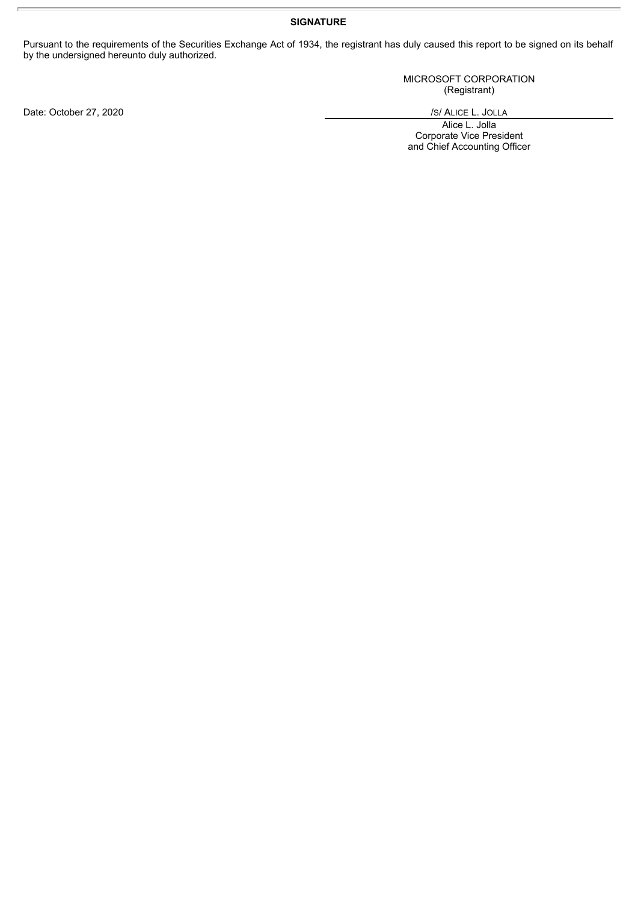#### **SIGNATURE**

Pursuant to the requirements of the Securities Exchange Act of 1934, the registrant has duly caused this report to be signed on its behalf by the undersigned hereunto duly authorized.

#### MICROSOFT CORPORATION (Registrant)

Alice L. Jolla Corporate Vice President and Chief Accounting Officer

Date: October 27, 2020 /S/ ALICE L. JOLLA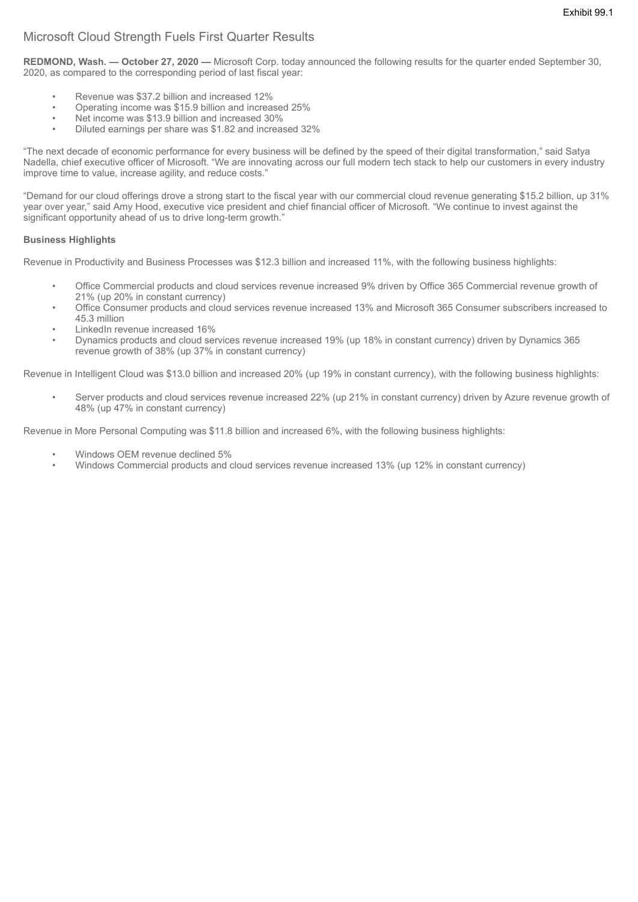# <span id="page-3-0"></span>Microsoft Cloud Strength Fuels First Quarter Results

**REDMOND, Wash. — October 27, 2020 —** Microsoft Corp. today announced the following results for the quarter ended September 30, 2020, as compared to the corresponding period of last fiscal year:

- Revenue was \$37.2 billion and increased 12%
- Operating income was \$15.9 billion and increased 25%
- Net income was \$13.9 billion and increased 30%
- Diluted earnings per share was \$1.82 and increased 32%

"The next decade of economic performance for every business will be defined by the speed of their digital transformation," said Satya Nadella, chief executive officer of Microsoft. "We are innovating across our full modern tech stack to help our customers in every industry improve time to value, increase agility, and reduce costs."

"Demand for our cloud offerings drove a strong start to the fiscal year with our commercial cloud revenue generating \$15.2 billion, up 31% year over year," said Amy Hood, executive vice president and chief financial officer of Microsoft. "We continue to invest against the significant opportunity ahead of us to drive long-term growth."

#### **Business Highlights**

Revenue in Productivity and Business Processes was \$12.3 billion and increased 11%, with the following business highlights:

- Office Commercial products and cloud services revenue increased 9% driven by Office 365 Commercial revenue growth of 21% (up 20% in constant currency)
- Office Consumer products and cloud services revenue increased 13% and Microsoft 365 Consumer subscribers increased to 45.3 million
- LinkedIn revenue increased 16%
- Dynamics products and cloud services revenue increased 19% (up 18% in constant currency) driven by Dynamics 365 revenue growth of 38% (up 37% in constant currency)

Revenue in Intelligent Cloud was \$13.0 billion and increased 20% (up 19% in constant currency), with the following business highlights:

• Server products and cloud services revenue increased 22% (up 21% in constant currency) driven by Azure revenue growth of 48% (up 47% in constant currency)

Revenue in More Personal Computing was \$11.8 billion and increased 6%, with the following business highlights:

- Windows OEM revenue declined 5%
- Windows Commercial products and cloud services revenue increased 13% (up 12% in constant currency)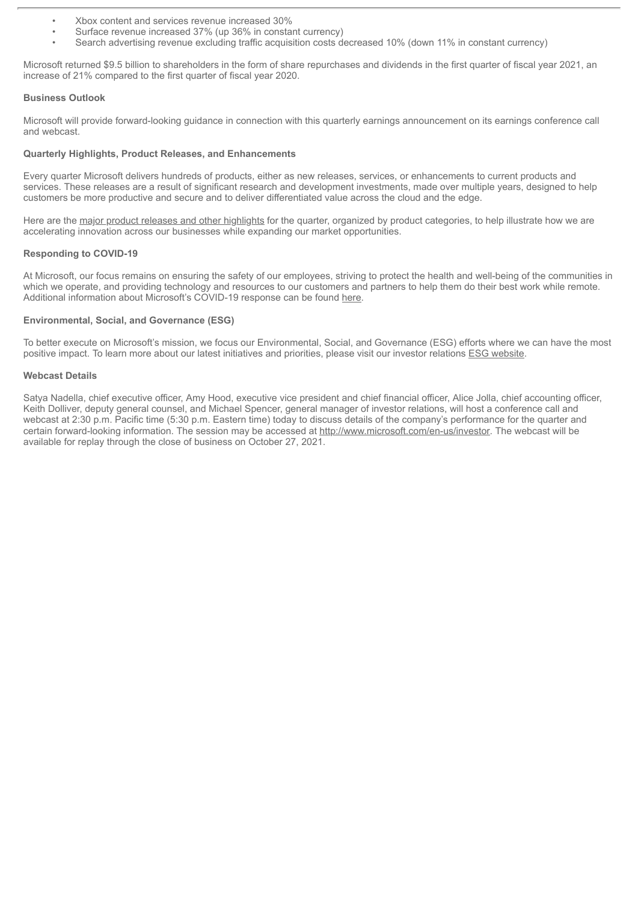- Xbox content and services revenue increased 30%
- Surface revenue increased 37% (up 36% in constant currency)
- Search advertising revenue excluding traffic acquisition costs decreased 10% (down 11% in constant currency)

Microsoft returned \$9.5 billion to shareholders in the form of share repurchases and dividends in the first quarter of fiscal year 2021, an increase of 21% compared to the first quarter of fiscal year 2020.

#### **Business Outlook**

Microsoft will provide forward-looking guidance in connection with this quarterly earnings announcement on its earnings conference call and webcast.

#### **Quarterly Highlights, Product Releases, and Enhancements**

Every quarter Microsoft delivers hundreds of products, either as new releases, services, or enhancements to current products and services. These releases are a result of significant research and development investments, made over multiple years, designed to help customers be more productive and secure and to deliver differentiated value across the cloud and the edge.

Here are the major product releases and other highlights for the quarter, organized by product categories, to help illustrate how we are accelerating innovation across our businesses while expanding our market opportunities.

#### **Responding to COVID-19**

At Microsoft, our focus remains on ensuring the safety of our employees, striving to protect the health and well-being of the communities in which we operate, and providing technology and resources to our customers and partners to help them do their best work while remote. Additional information about Microsoft's COVID-19 response can be found here.

#### **Environmental, Social, and Governance (ESG)**

To better execute on Microsoft's mission, we focus our Environmental, Social, and Governance (ESG) efforts where we can have the most positive impact. To learn more about our latest initiatives and priorities, please visit our investor relations ESG website.

#### **Webcast Details**

Satya Nadella, chief executive officer, Amy Hood, executive vice president and chief financial officer, Alice Jolla, chief accounting officer, Keith Dolliver, deputy general counsel, and Michael Spencer, general manager of investor relations, will host a conference call and webcast at 2:30 p.m. Pacific time (5:30 p.m. Eastern time) today to discuss details of the company's performance for the quarter and certain forward-looking information. The session may be accessed at http://www.microsoft.com/en-us/investor. The webcast will be available for replay through the close of business on October 27, 2021.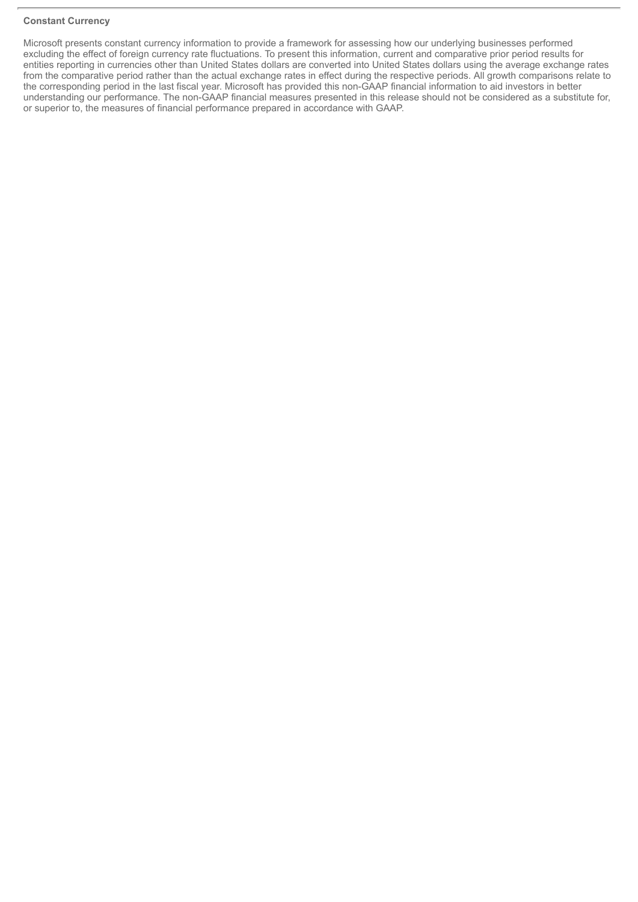#### **Constant Currency**

Microsoft presents constant currency information to provide a framework for assessing how our underlying businesses performed excluding the effect of foreign currency rate fluctuations. To present this information, current and comparative prior period results for entities reporting in currencies other than United States dollars are converted into United States dollars using the average exchange rates from the comparative period rather than the actual exchange rates in effect during the respective periods. All growth comparisons relate to the corresponding period in the last fiscal year. Microsoft has provided this non-GAAP financial information to aid investors in better understanding our performance. The non-GAAP financial measures presented in this release should not be considered as a substitute for, or superior to, the measures of financial performance prepared in accordance with GAAP.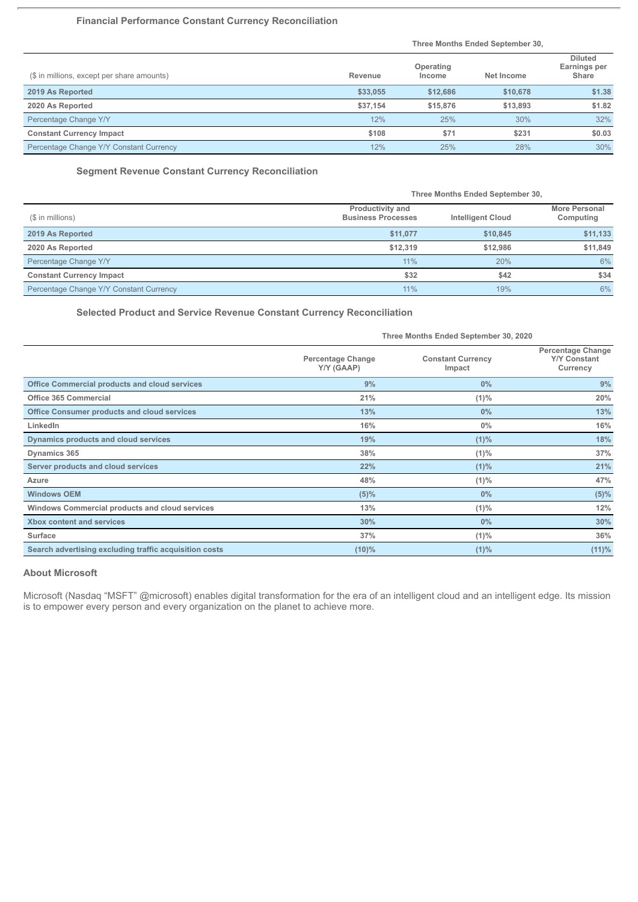#### **Financial Performance Constant Currency Reconciliation**

|                                            | Three Months Ended September 30, |                     |            |                                         |
|--------------------------------------------|----------------------------------|---------------------|------------|-----------------------------------------|
| (\$ in millions, except per share amounts) | Revenue                          | Operating<br>Income | Net Income | <b>Diluted</b><br>Earnings per<br>Share |
| 2019 As Reported                           | \$33,055                         | \$12,686            | \$10,678   | \$1.38                                  |
| 2020 As Reported                           | \$37,154                         | \$15,876            | \$13,893   | \$1.82                                  |
| Percentage Change Y/Y                      | 12%                              | 25%                 | 30%        | 32%                                     |
| <b>Constant Currency Impact</b>            | \$108                            | \$71                | \$231      | \$0.03                                  |
| Percentage Change Y/Y Constant Currency    | 12%                              | 25%                 | 28%        | 30%                                     |

#### **Segment Revenue Constant Currency Reconciliation**

|                                         | Three Months Ended September 30,              |                          |                                   |
|-----------------------------------------|-----------------------------------------------|--------------------------|-----------------------------------|
| (\$ in millions)                        | Productivity and<br><b>Business Processes</b> | <b>Intelligent Cloud</b> | <b>More Personal</b><br>Computing |
| 2019 As Reported                        | \$11,077                                      | \$10,845                 | \$11,133                          |
| 2020 As Reported                        | \$12,319                                      | \$12,986                 | \$11,849                          |
| Percentage Change Y/Y                   | 11%                                           | 20%                      | 6%                                |
| <b>Constant Currency Impact</b>         | \$32                                          | \$42                     | \$34                              |
| Percentage Change Y/Y Constant Currency | 11%                                           | 19%                      | 6%                                |

#### **Selected Product and Service Revenue Constant Currency Reconciliation**

|                                                        | Three Months Ended September 30, 2020  |                                    |                                                             |
|--------------------------------------------------------|----------------------------------------|------------------------------------|-------------------------------------------------------------|
|                                                        | <b>Percentage Change</b><br>Y/Y (GAAP) | <b>Constant Currency</b><br>Impact | <b>Percentage Change</b><br><b>Y/Y Constant</b><br>Currency |
| <b>Office Commercial products and cloud services</b>   | 9%                                     | $0\%$                              | 9%                                                          |
| Office 365 Commercial                                  | 21%                                    | $(1)\%$                            | 20%                                                         |
| <b>Office Consumer products and cloud services</b>     | 13%                                    | $0\%$                              | 13%                                                         |
| LinkedIn                                               | 16%                                    | $0\%$                              | 16%                                                         |
| Dynamics products and cloud services                   | 19%                                    | $(1)\%$                            | 18%                                                         |
| Dynamics 365                                           | 38%                                    | $(1)\%$                            | 37%                                                         |
| Server products and cloud services                     | 22%                                    | (1)%                               | 21%                                                         |
| Azure                                                  | 48%                                    | $(1)\%$                            | 47%                                                         |
| <b>Windows OEM</b>                                     | $(5)\%$                                | $0\%$                              | $(5)\%$                                                     |
| Windows Commercial products and cloud services         | 13%                                    | $(1)\%$                            | 12%                                                         |
| <b>Xbox content and services</b>                       | 30%                                    | $0\%$                              | 30%                                                         |
| <b>Surface</b>                                         | 37%                                    | $(1)\%$                            | 36%                                                         |
| Search advertising excluding traffic acquisition costs | $(10)\%$                               | $(1)\%$                            | (11)%                                                       |

#### **About Microsoft**

Microsoft (Nasdaq "MSFT" @microsoft) enables digital transformation for the era of an intelligent cloud and an intelligent edge. Its mission is to empower every person and every organization on the planet to achieve more.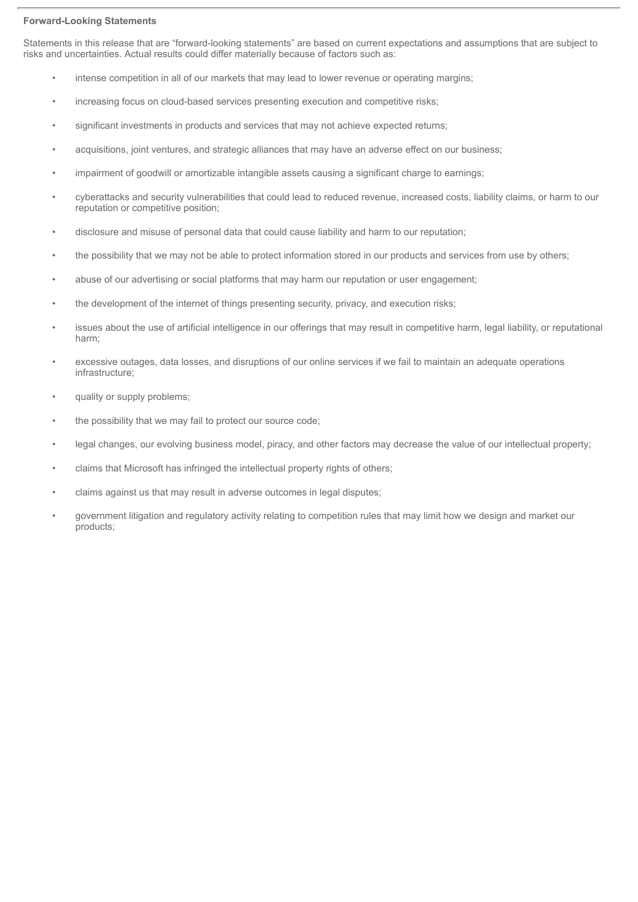#### **Forward-Looking Statements**

Statements in this release that are "forward-looking statements" are based on current expectations and assumptions that are subject to risks and uncertainties. Actual results could differ materially because of factors such as:

- intense competition in all of our markets that may lead to lower revenue or operating margins;
- increasing focus on cloud-based services presenting execution and competitive risks;
- significant investments in products and services that may not achieve expected returns;
- acquisitions, joint ventures, and strategic alliances that may have an adverse effect on our business;
- impairment of goodwill or amortizable intangible assets causing a significant charge to earnings;
- cyberattacks and security vulnerabilities that could lead to reduced revenue, increased costs, liability claims, or harm to our reputation or competitive position;
- disclosure and misuse of personal data that could cause liability and harm to our reputation;
- the possibility that we may not be able to protect information stored in our products and services from use by others;
- abuse of our advertising or social platforms that may harm our reputation or user engagement;
- the development of the internet of things presenting security, privacy, and execution risks;
- issues about the use of artificial intelligence in our offerings that may result in competitive harm, legal liability, or reputational harm;
- excessive outages, data losses, and disruptions of our online services if we fail to maintain an adequate operations infrastructure;
- quality or supply problems;
- the possibility that we may fail to protect our source code;
- legal changes, our evolving business model, piracy, and other factors may decrease the value of our intellectual property;
- claims that Microsoft has infringed the intellectual property rights of others;
- claims against us that may result in adverse outcomes in legal disputes;
- government litigation and regulatory activity relating to competition rules that may limit how we design and market our products;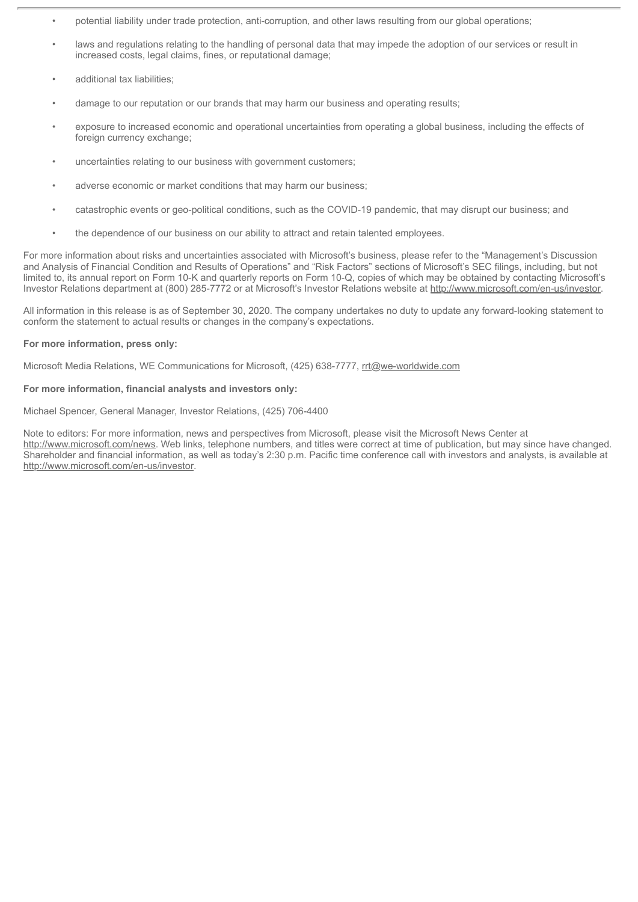- potential liability under trade protection, anti-corruption, and other laws resulting from our global operations;
- laws and regulations relating to the handling of personal data that may impede the adoption of our services or result in increased costs, legal claims, fines, or reputational damage;
- additional tax liabilities:
- damage to our reputation or our brands that may harm our business and operating results;
- exposure to increased economic and operational uncertainties from operating a global business, including the effects of foreign currency exchange;
- uncertainties relating to our business with government customers;
- adverse economic or market conditions that may harm our business:
- catastrophic events or geo-political conditions, such as the COVID-19 pandemic, that may disrupt our business; and
- the dependence of our business on our ability to attract and retain talented employees.

For more information about risks and uncertainties associated with Microsoft's business, please refer to the "Management's Discussion and Analysis of Financial Condition and Results of Operations" and "Risk Factors" sections of Microsoft's SEC filings, including, but not limited to, its annual report on Form 10-K and quarterly reports on Form 10-Q, copies of which may be obtained by contacting Microsoft's Investor Relations department at (800) 285-7772 or at Microsoft's Investor Relations website at http://www.microsoft.com/en-us/investor.

All information in this release is as of September 30, 2020. The company undertakes no duty to update any forward-looking statement to conform the statement to actual results or changes in the company's expectations.

#### **For more information, press only:**

Microsoft Media Relations, WE Communications for Microsoft, (425) 638-7777, rrt@we-worldwide.com

#### **For more information, financial analysts and investors only:**

Michael Spencer, General Manager, Investor Relations, (425) 706-4400

Note to editors: For more information, news and perspectives from Microsoft, please visit the Microsoft News Center at http://www.microsoft.com/news. Web links, telephone numbers, and titles were correct at time of publication, but may since have changed. Shareholder and financial information, as well as today's 2:30 p.m. Pacific time conference call with investors and analysts, is available at http://www.microsoft.com/en-us/investor.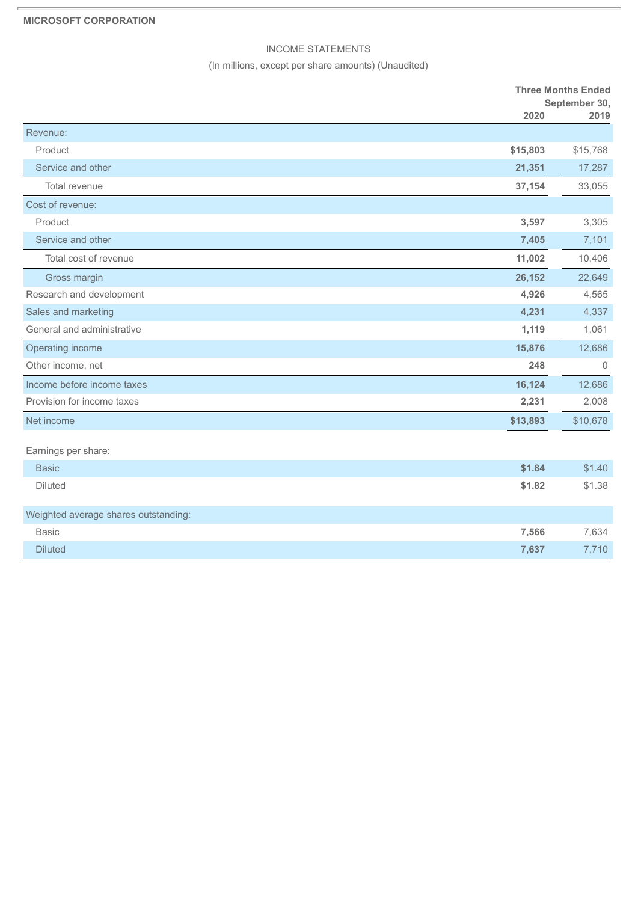# INCOME STATEMENTS

## (In millions, except per share amounts) (Unaudited)

|                                      |          | <b>Three Months Ended</b> |
|--------------------------------------|----------|---------------------------|
|                                      | 2020     | September 30,<br>2019     |
| Revenue:                             |          |                           |
| Product                              | \$15,803 | \$15,768                  |
| Service and other                    | 21,351   | 17,287                    |
| Total revenue                        | 37,154   | 33,055                    |
| Cost of revenue:                     |          |                           |
| Product                              | 3,597    | 3,305                     |
| Service and other                    | 7,405    | 7,101                     |
| Total cost of revenue                | 11,002   | 10,406                    |
| Gross margin                         | 26,152   | 22,649                    |
| Research and development             | 4,926    | 4,565                     |
| Sales and marketing                  | 4,231    | 4,337                     |
| General and administrative           | 1,119    | 1,061                     |
| Operating income                     | 15,876   | 12,686                    |
| Other income, net                    | 248      | $\mathbf 0$               |
| Income before income taxes           | 16,124   | 12,686                    |
| Provision for income taxes           | 2,231    | 2,008                     |
| Net income                           | \$13,893 | \$10,678                  |
| Earnings per share:                  |          |                           |
| <b>Basic</b>                         | \$1.84   | \$1.40                    |
| <b>Diluted</b>                       | \$1.82   | \$1.38                    |
| Weighted average shares outstanding: |          |                           |
| <b>Basic</b>                         | 7,566    | 7,634                     |
| <b>Diluted</b>                       | 7,637    | 7,710                     |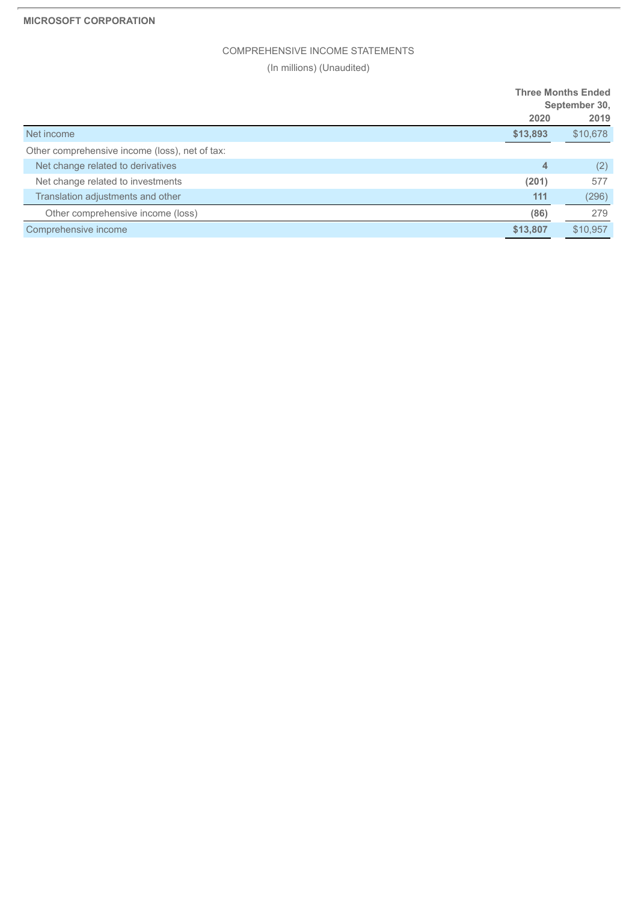# COMPREHENSIVE INCOME STATEMENTS

|                                                |               | <b>Three Months Ended</b> |
|------------------------------------------------|---------------|---------------------------|
|                                                | September 30, |                           |
|                                                | 2020          | 2019                      |
| Net income<br>\$13,893                         |               | \$10,678                  |
| Other comprehensive income (loss), net of tax: |               |                           |
| Net change related to derivatives              | 4             | (2)                       |
| Net change related to investments              | (201)         | 577                       |
| Translation adjustments and other              | 111           | (296)                     |
| Other comprehensive income (loss)              | (86)          | 279                       |
| Comprehensive income<br>\$13,807               |               | \$10,957                  |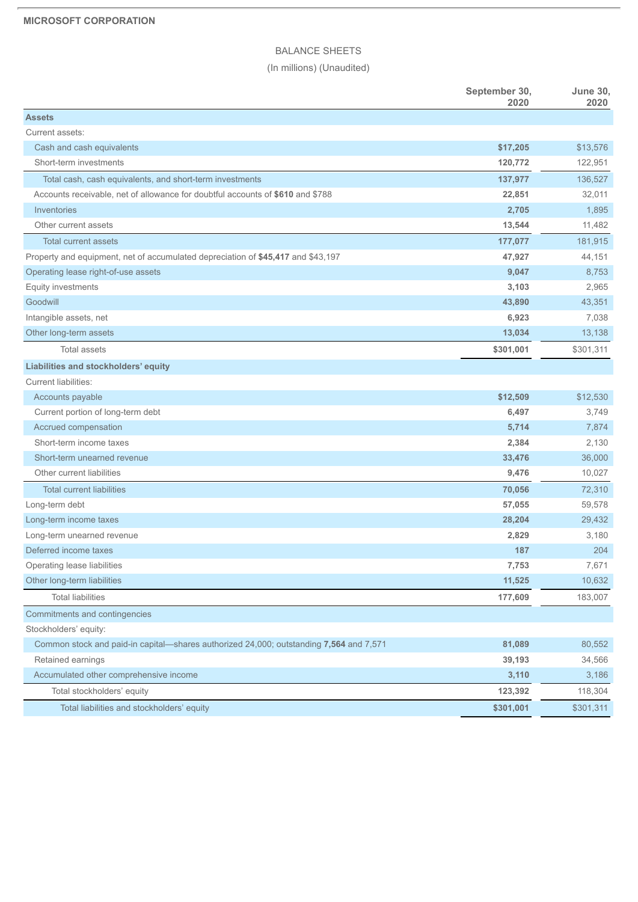# BALANCE SHEETS

|                                                                                        | September 30,<br>2020 | <b>June 30,</b><br>2020 |
|----------------------------------------------------------------------------------------|-----------------------|-------------------------|
| <b>Assets</b>                                                                          |                       |                         |
| Current assets:                                                                        |                       |                         |
| Cash and cash equivalents                                                              | \$17,205              | \$13,576                |
| Short-term investments                                                                 | 120,772               | 122,951                 |
| Total cash, cash equivalents, and short-term investments                               | 137,977               | 136,527                 |
| Accounts receivable, net of allowance for doubtful accounts of \$610 and \$788         | 22,851                | 32,011                  |
| Inventories                                                                            | 2,705                 | 1,895                   |
| Other current assets                                                                   | 13,544                | 11,482                  |
| Total current assets                                                                   | 177,077               | 181,915                 |
| Property and equipment, net of accumulated depreciation of \$45,417 and \$43,197       | 47,927                | 44,151                  |
| Operating lease right-of-use assets                                                    | 9,047                 | 8,753                   |
| Equity investments                                                                     | 3,103                 | 2,965                   |
| Goodwill                                                                               | 43,890                | 43,351                  |
| Intangible assets, net                                                                 | 6,923                 | 7,038                   |
| Other long-term assets                                                                 | 13,034                | 13,138                  |
| <b>Total assets</b>                                                                    | \$301,001             | \$301,311               |
| Liabilities and stockholders' equity                                                   |                       |                         |
| <b>Current liabilities:</b>                                                            |                       |                         |
| Accounts payable                                                                       | \$12,509              | \$12,530                |
| Current portion of long-term debt                                                      | 6,497                 | 3,749                   |
| Accrued compensation                                                                   | 5,714                 | 7,874                   |
| Short-term income taxes                                                                | 2,384                 | 2,130                   |
| Short-term unearned revenue                                                            | 33,476                | 36,000                  |
| Other current liabilities                                                              | 9,476                 | 10,027                  |
| <b>Total current liabilities</b>                                                       | 70,056                | 72,310                  |
| Long-term debt                                                                         | 57,055                | 59,578                  |
| Long-term income taxes                                                                 | 28,204                | 29,432                  |
| Long-term unearned revenue                                                             | 2,829                 | 3,180                   |
| Deferred income taxes                                                                  | 187                   | 204                     |
| Operating lease liabilities                                                            | 7,753                 | 7,671                   |
| Other long-term liabilities                                                            | 11,525                | 10,632                  |
| <b>Total liabilities</b>                                                               | 177,609               | 183,007                 |
| Commitments and contingencies                                                          |                       |                         |
| Stockholders' equity:                                                                  |                       |                         |
| Common stock and paid-in capital—shares authorized 24,000; outstanding 7,564 and 7,571 | 81,089                | 80,552                  |
| Retained earnings                                                                      | 39,193                | 34,566                  |
| Accumulated other comprehensive income                                                 | 3,110                 | 3,186                   |
| Total stockholders' equity                                                             | 123,392               | 118,304                 |
| Total liabilities and stockholders' equity                                             | \$301,001             | \$301,311               |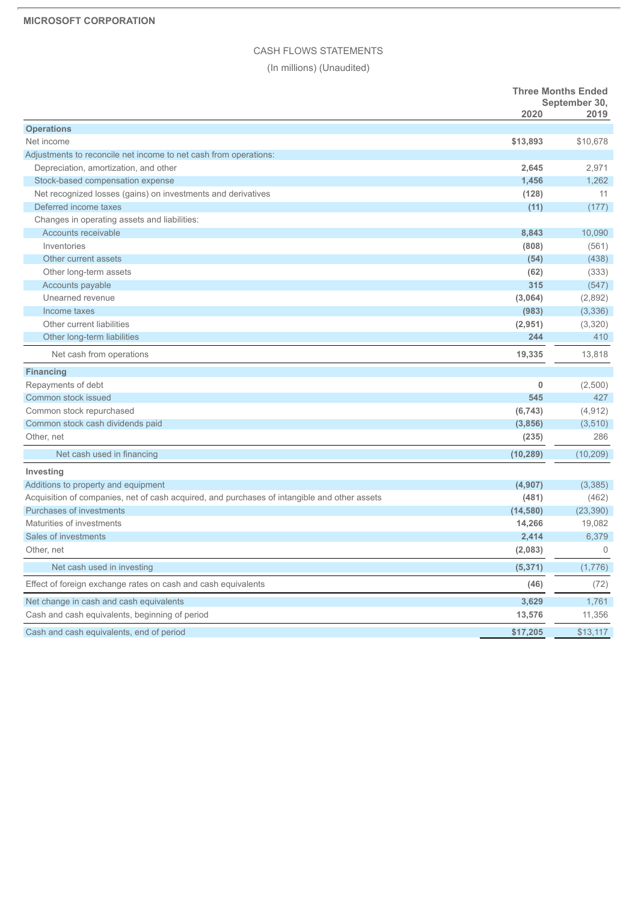# CASH FLOWS STATEMENTS

|                                                                                              |           | <b>Three Months Ended</b><br>September 30, |
|----------------------------------------------------------------------------------------------|-----------|--------------------------------------------|
|                                                                                              | 2020      | 2019                                       |
| <b>Operations</b>                                                                            |           |                                            |
| Net income                                                                                   | \$13,893  | \$10,678                                   |
| Adjustments to reconcile net income to net cash from operations:                             |           |                                            |
| Depreciation, amortization, and other                                                        | 2,645     | 2,971                                      |
| Stock-based compensation expense                                                             | 1,456     | 1,262                                      |
| Net recognized losses (gains) on investments and derivatives                                 | (128)     | 11                                         |
| Deferred income taxes                                                                        | (11)      | (177)                                      |
| Changes in operating assets and liabilities:                                                 |           |                                            |
| Accounts receivable                                                                          | 8,843     | 10,090                                     |
| Inventories                                                                                  | (808)     | (561)                                      |
| Other current assets                                                                         | (54)      | (438)                                      |
| Other long-term assets                                                                       | (62)      | (333)                                      |
| Accounts payable                                                                             | 315       | (547)                                      |
| Unearned revenue                                                                             | (3,064)   | (2,892)                                    |
| Income taxes                                                                                 | (983)     | (3, 336)                                   |
| Other current liabilities                                                                    | (2,951)   | (3,320)                                    |
| Other long-term liabilities                                                                  | 244       | 410                                        |
| Net cash from operations                                                                     | 19,335    | 13,818                                     |
| <b>Financing</b>                                                                             |           |                                            |
| Repayments of debt                                                                           | $\bf{0}$  | (2,500)                                    |
| Common stock issued                                                                          | 545       | 427                                        |
| Common stock repurchased                                                                     | (6, 743)  | (4, 912)                                   |
| Common stock cash dividends paid                                                             | (3, 856)  | (3,510)                                    |
| Other, net                                                                                   | (235)     | 286                                        |
| Net cash used in financing                                                                   | (10, 289) | (10, 209)                                  |
| Investing                                                                                    |           |                                            |
| Additions to property and equipment                                                          | (4, 907)  | (3,385)                                    |
| Acquisition of companies, net of cash acquired, and purchases of intangible and other assets | (481)     | (462)                                      |
| Purchases of investments                                                                     | (14, 580) | (23, 390)                                  |
| Maturities of investments                                                                    | 14,266    | 19,082                                     |
| Sales of investments                                                                         | 2,414     | 6,379                                      |
| Other, net                                                                                   | (2,083)   | $\mathbf{0}$                               |
| Net cash used in investing                                                                   | (5, 371)  | (1,776)                                    |
| Effect of foreign exchange rates on cash and cash equivalents                                | (46)      | (72)                                       |
| Net change in cash and cash equivalents                                                      | 3,629     | 1,761                                      |
| Cash and cash equivalents, beginning of period                                               | 13,576    | 11,356                                     |
| Cash and cash equivalents, end of period                                                     | \$17,205  | \$13,117                                   |